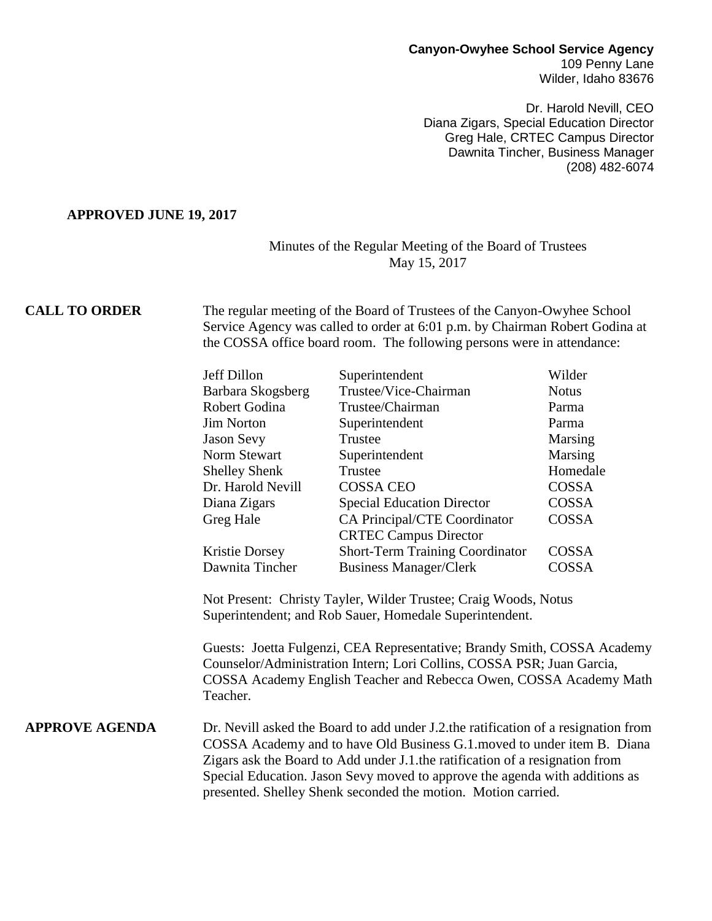## **Canyon-Owyhee School Service Agency** 109 Penny Lane

Wilder, Idaho 83676

Dr. Harold Nevill, CEO Diana Zigars, Special Education Director Greg Hale, CRTEC Campus Director Dawnita Tincher, Business Manager (208) 482-6074

### **APPROVED JUNE 19, 2017**

## Minutes of the Regular Meeting of the Board of Trustees May 15, 2017

**CALL TO ORDER** The regular meeting of the Board of Trustees of the Canyon-Owyhee School Service Agency was called to order at 6:01 p.m. by Chairman Robert Godina at the COSSA office board room. The following persons were in attendance:

| Jeff Dillon          | Superintendent                         | Wilder       |
|----------------------|----------------------------------------|--------------|
| Barbara Skogsberg    | Trustee/Vice-Chairman                  | <b>Notus</b> |
| Robert Godina        | Trustee/Chairman                       | Parma        |
| <b>Jim Norton</b>    | Superintendent                         | Parma        |
| Jason Sevy           | Trustee                                | Marsing      |
| Norm Stewart         | Superintendent                         | Marsing      |
| <b>Shelley Shenk</b> | Trustee                                | Homedale     |
| Dr. Harold Nevill    | <b>COSSA CEO</b>                       | COSSA        |
| Diana Zigars         | <b>Special Education Director</b>      | COSSA        |
| Greg Hale            | CA Principal/CTE Coordinator           | COSSA        |
|                      | <b>CRTEC Campus Director</b>           |              |
| Kristie Dorsey       | <b>Short-Term Training Coordinator</b> | COSSA        |
| Dawnita Tincher      | <b>Business Manager/Clerk</b>          | COSSA        |
|                      |                                        |              |

Not Present: Christy Tayler, Wilder Trustee; Craig Woods, Notus Superintendent; and Rob Sauer, Homedale Superintendent.

Guests: Joetta Fulgenzi, CEA Representative; Brandy Smith, COSSA Academy Counselor/Administration Intern; Lori Collins, COSSA PSR; Juan Garcia, COSSA Academy English Teacher and Rebecca Owen, COSSA Academy Math Teacher.

**APPROVE AGENDA** Dr. Nevill asked the Board to add under J.2.the ratification of a resignation from COSSA Academy and to have Old Business G.1.moved to under item B. Diana Zigars ask the Board to Add under J.1.the ratification of a resignation from Special Education. Jason Sevy moved to approve the agenda with additions as presented. Shelley Shenk seconded the motion. Motion carried.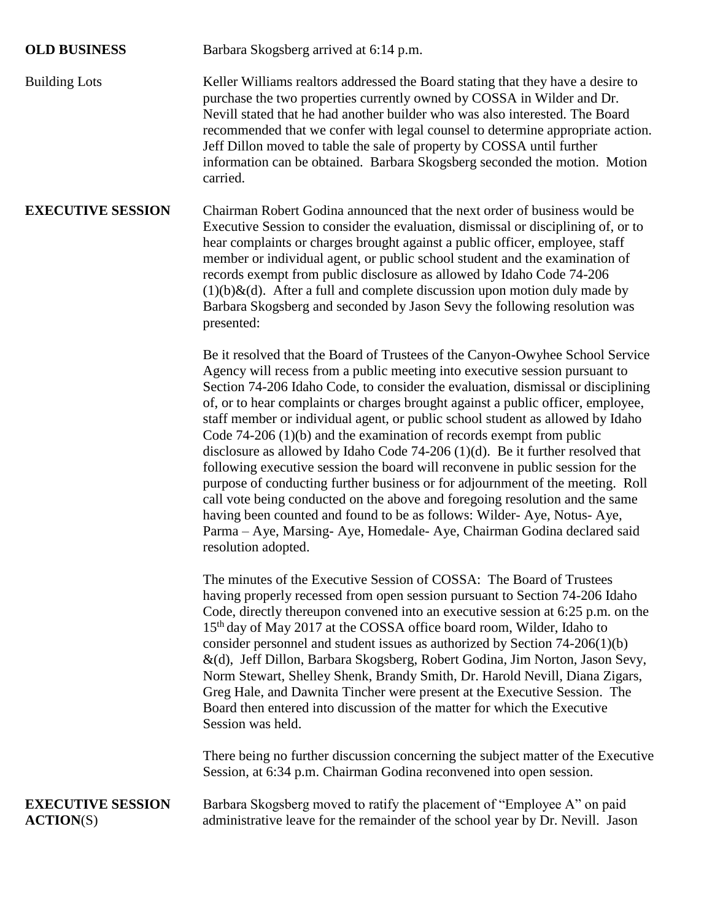**OLD BUSINESS** Barbara Skogsberg arrived at 6:14 p.m.

Building Lots Keller Williams realtors addressed the Board stating that they have a desire to purchase the two properties currently owned by COSSA in Wilder and Dr. Nevill stated that he had another builder who was also interested. The Board recommended that we confer with legal counsel to determine appropriate action. Jeff Dillon moved to table the sale of property by COSSA until further information can be obtained. Barbara Skogsberg seconded the motion. Motion carried.

**EXECUTIVE SESSION** Chairman Robert Godina announced that the next order of business would be Executive Session to consider the evaluation, dismissal or disciplining of, or to hear complaints or charges brought against a public officer, employee, staff member or individual agent, or public school student and the examination of records exempt from public disclosure as allowed by Idaho Code 74-206  $(1)(b)$ &(d). After a full and complete discussion upon motion duly made by Barbara Skogsberg and seconded by Jason Sevy the following resolution was presented:

> Be it resolved that the Board of Trustees of the Canyon-Owyhee School Service Agency will recess from a public meeting into executive session pursuant to Section 74-206 Idaho Code, to consider the evaluation, dismissal or disciplining of, or to hear complaints or charges brought against a public officer, employee, staff member or individual agent, or public school student as allowed by Idaho Code 74-206 (1)(b) and the examination of records exempt from public disclosure as allowed by Idaho Code 74-206 (1)(d). Be it further resolved that following executive session the board will reconvene in public session for the purpose of conducting further business or for adjournment of the meeting. Roll call vote being conducted on the above and foregoing resolution and the same having been counted and found to be as follows: Wilder- Aye, Notus- Aye, Parma – Aye, Marsing- Aye, Homedale- Aye, Chairman Godina declared said resolution adopted.

> The minutes of the Executive Session of COSSA: The Board of Trustees having properly recessed from open session pursuant to Section 74-206 Idaho Code, directly thereupon convened into an executive session at 6:25 p.m. on the 15 th day of May 2017 at the COSSA office board room, Wilder, Idaho to consider personnel and student issues as authorized by Section 74-206(1)(b) &(d), Jeff Dillon, Barbara Skogsberg, Robert Godina, Jim Norton, Jason Sevy, Norm Stewart, Shelley Shenk, Brandy Smith, Dr. Harold Nevill, Diana Zigars, Greg Hale, and Dawnita Tincher were present at the Executive Session. The Board then entered into discussion of the matter for which the Executive Session was held.

> There being no further discussion concerning the subject matter of the Executive Session, at 6:34 p.m. Chairman Godina reconvened into open session.

# **EXECUTIVE SESSION** Barbara Skogsberg moved to ratify the placement of "Employee A" on paid **ACTION**(S) administrative leave for the remainder of the school year by Dr. Nevill. Jason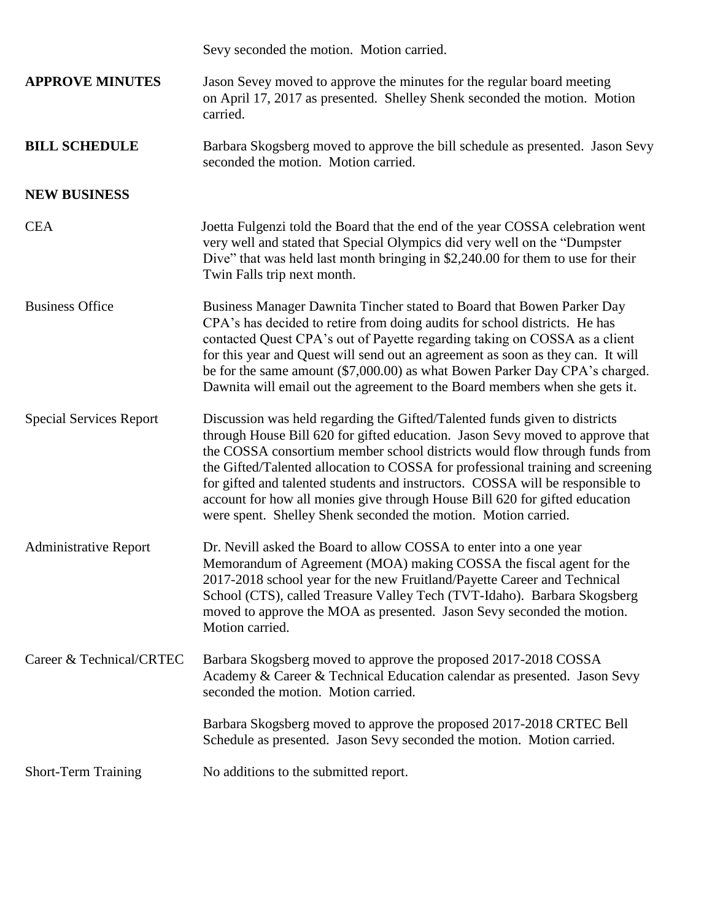|                                | Sevy seconded the motion. Motion carried.                                                                                                                                                                                                                                                                                                                                                                                                                                                                                                                       |
|--------------------------------|-----------------------------------------------------------------------------------------------------------------------------------------------------------------------------------------------------------------------------------------------------------------------------------------------------------------------------------------------------------------------------------------------------------------------------------------------------------------------------------------------------------------------------------------------------------------|
| <b>APPROVE MINUTES</b>         | Jason Sevey moved to approve the minutes for the regular board meeting<br>on April 17, 2017 as presented. Shelley Shenk seconded the motion. Motion<br>carried.                                                                                                                                                                                                                                                                                                                                                                                                 |
| <b>BILL SCHEDULE</b>           | Barbara Skogsberg moved to approve the bill schedule as presented. Jason Sevy<br>seconded the motion. Motion carried.                                                                                                                                                                                                                                                                                                                                                                                                                                           |
| <b>NEW BUSINESS</b>            |                                                                                                                                                                                                                                                                                                                                                                                                                                                                                                                                                                 |
| <b>CEA</b>                     | Joetta Fulgenzi told the Board that the end of the year COSSA celebration went<br>very well and stated that Special Olympics did very well on the "Dumpster"<br>Dive" that was held last month bringing in \$2,240.00 for them to use for their<br>Twin Falls trip next month.                                                                                                                                                                                                                                                                                  |
| <b>Business Office</b>         | Business Manager Dawnita Tincher stated to Board that Bowen Parker Day<br>CPA's has decided to retire from doing audits for school districts. He has<br>contacted Quest CPA's out of Payette regarding taking on COSSA as a client<br>for this year and Quest will send out an agreement as soon as they can. It will<br>be for the same amount (\$7,000.00) as what Bowen Parker Day CPA's charged.<br>Dawnita will email out the agreement to the Board members when she gets it.                                                                             |
| <b>Special Services Report</b> | Discussion was held regarding the Gifted/Talented funds given to districts<br>through House Bill 620 for gifted education. Jason Sevy moved to approve that<br>the COSSA consortium member school districts would flow through funds from<br>the Gifted/Talented allocation to COSSA for professional training and screening<br>for gifted and talented students and instructors. COSSA will be responsible to<br>account for how all monies give through House Bill 620 for gifted education<br>were spent. Shelley Shenk seconded the motion. Motion carried. |
| <b>Administrative Report</b>   | Dr. Nevill asked the Board to allow COSSA to enter into a one year<br>Memorandum of Agreement (MOA) making COSSA the fiscal agent for the<br>2017-2018 school year for the new Fruitland/Payette Career and Technical<br>School (CTS), called Treasure Valley Tech (TVT-Idaho). Barbara Skogsberg<br>moved to approve the MOA as presented. Jason Sevy seconded the motion.<br>Motion carried.                                                                                                                                                                  |
| Career & Technical/CRTEC       | Barbara Skogsberg moved to approve the proposed 2017-2018 COSSA<br>Academy & Career & Technical Education calendar as presented. Jason Sevy<br>seconded the motion. Motion carried.                                                                                                                                                                                                                                                                                                                                                                             |
|                                | Barbara Skogsberg moved to approve the proposed 2017-2018 CRTEC Bell<br>Schedule as presented. Jason Sevy seconded the motion. Motion carried.                                                                                                                                                                                                                                                                                                                                                                                                                  |
| <b>Short-Term Training</b>     | No additions to the submitted report.                                                                                                                                                                                                                                                                                                                                                                                                                                                                                                                           |